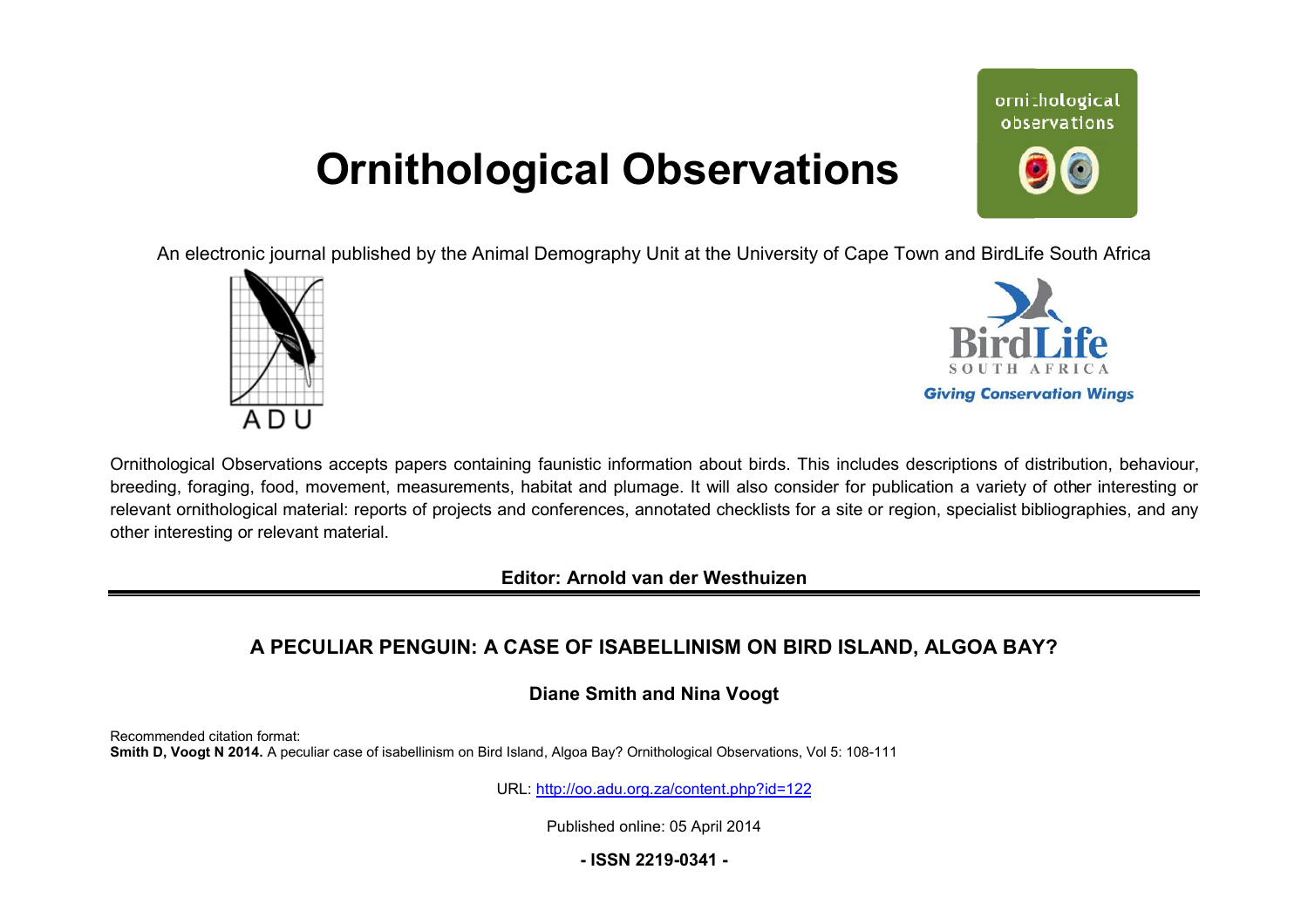# **Ornithological Observations**

ornithological observations

An electronic journal published by the Animal Demography Unit at the University of Cape Town and BirdLife South Africa





Ornithological Observations accepts papers containing faunistic information about birds. This includes descriptions of distribution, behaviour, breeding, foraging, food, movement, measurements, habitat and plumage. It will also consider for publication a variety of other interesting or relevant ornithological material: reports of projects and conferences, annotated checklists for a site or region, specialist bibliographies, and any other interesting or relevant material.

**Editor: Arnold van der Westhuizen**

## **A PECULIAR PENGUIN: A CASE OF ISABELLINISM ON BIRD ISLAND, ALGOA BAY ,BAY?**

**Diane Smith and Nina Voogt**

Recommended citation format: Smith D, Voogt N 2014. A peculiar case of isabellinism on Bird Island, Algoa Bay? Ornithological Observations, Vol 5: 108-111

URL: <http://oo.adu.org.za/content.php?id=122>

Published online: 05 April 2014

**- ISSN 2219-0341 -**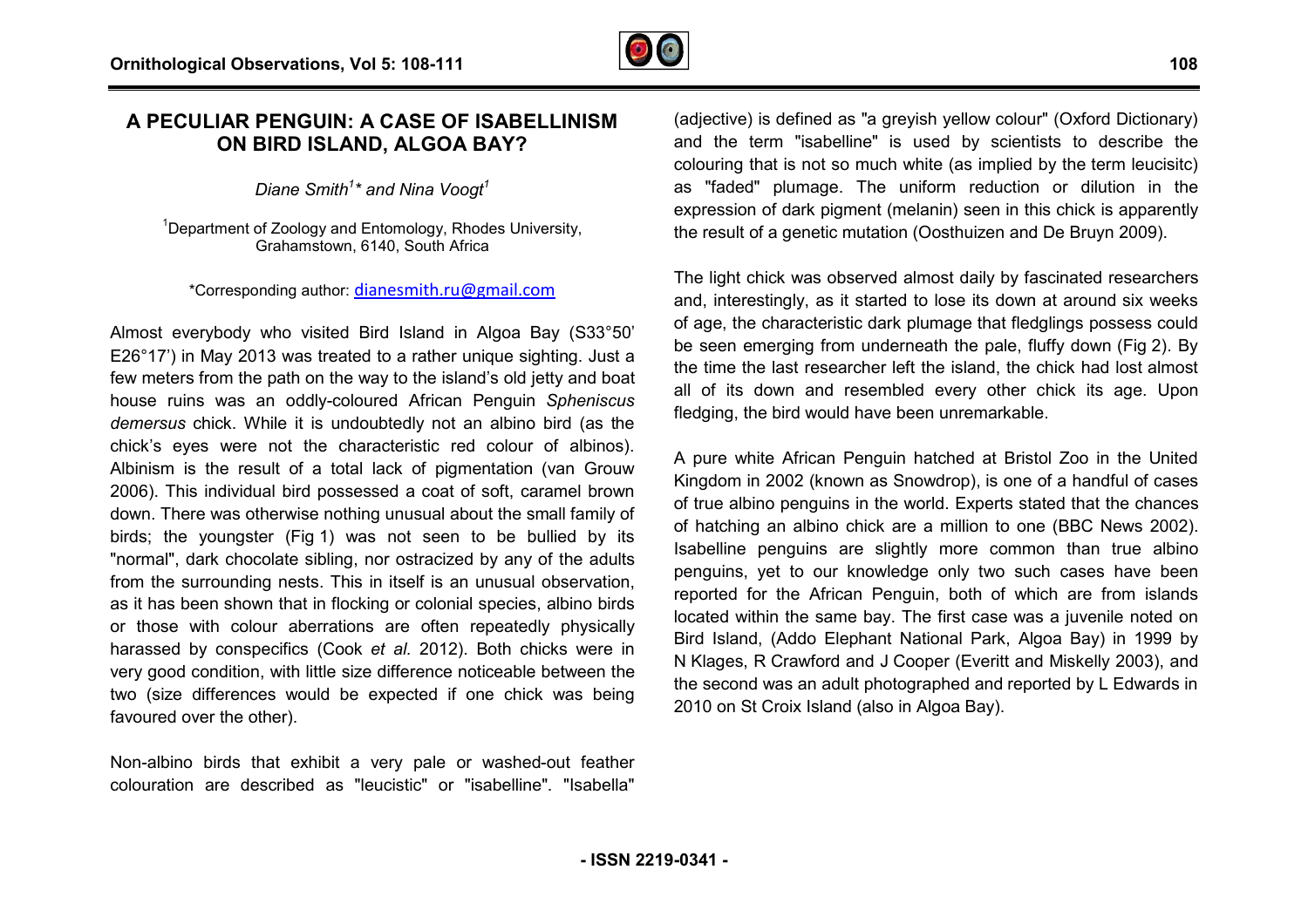## **A PECULIAR PENGUIN: A CASE OF ISABELLINISM ON BIRD ISLAND, ALGOA BAY?**

*Diane Smith<sup>1</sup> \* and Nina Voogt<sup>1</sup>*

 $1$ Department of Zoology and Entomology, Rhodes University, Grahamstown, 6140, South Africa

\*Corresponding author: [dianesmith.ru@gmail.com](mailto:dianesmith.ru@gmail.com)

Almost everybody who visited Bird Island in Algoa Bay (S33°50' E26°17') in May 2013 was treated to a rather unique sighting. Just a few meters from the path on the way to the island's old jetty and boat house ruins was an oddly-coloured African Penguin Spheniscus demersus chick. While it is undoubtedly not an albino bird (as the chick's eyes were not the characteristic red colour of albinos). Albinism is the result of a total lack of pigmentation (van Grouw 2006). This individual bird possessed a coat of soft, caramel brown down. There was otherwise nothing unusual about the small family of birds; the youngster (Fig 1) was not seen to be bullied by its "normal", dark chocolate sibling, nor ostracized by any of the adults from the surrounding nests. This in itself is an unusual observation, as it has been shown that in flocking or colonial species, albino birds or those with colour aberrations are often repeatedly physically harassed by conspecifics (Cook *et al.* 2012). Both chicks were in very good condition, with little size difference noticeable between the two (size differences would be expected if one chick was being favoured over the other). mal", dark chocolate sibling, nor ostracized by any of the adults<br>the surrounding nests. This in itself is an unusual observation,<br>has been shown that in flocking or colonial species, albino birds<br>nose with colour aberrati

Non-albino birds that exhibit a very pale or washed-out feather colouration are described as "leucistic" or "isabelline". "Isabella"

(adjective) is defined as "a greyish yellow colour" (Oxford Dictionary) and the term "isabelline" is used by scientists to describe the colouring that is not so much white (as implied by the term leucisitc) as "faded" plumage. The uniform reduction or dilution in the expression of dark pigment (melanin) seen in this chick is apparently expression of dark pigment (melanin) seen in this chick is appare<br>the result of a genetic mutation (Oosthuizen and De Bruyn 2009).

The light chick was observed almost daily by fascinated researchers and, interestingly, as it started to lose its down at around six weeks of age, the characteristic dark plumage that fledglings possess could be seen emerging from underneath the pale, fluffy down (Fig 2). By the time the last researcher left the island, the chick had lost almost all of its down and resembled every other chick its age. Upon fledging, the bird would have been unremarkable.

A pure white African Penguin hatched at Bristol Zoo in the U United Kingdom in 2002 (known as Snowdrop), is one of a handful of cases of true albino penguins in the world. Experts stated that the chances of hatching an albino chick are a million to one (BBC News 2002). Isabelline penguins are slightly more common than true albino penguins, yet to our knowledge only two such cases have been reported for the African Penguin, both of which are from islands located within the same bay. The first case was a juvenile noted on penguins, yet to our knowledge only two such cases have been<br>reported for the African Penguin, both of which are from islands<br>located within the same bay. The first case was a juvenile noted on<br>Bird Island, (Addo Elephant N Klages, R Crawford and J Cooper (Everitt and Miskelly 2003), and the second was an adult photographed and reported by L Edwards in 2010 on St Croix Island (also in Algoa Bay).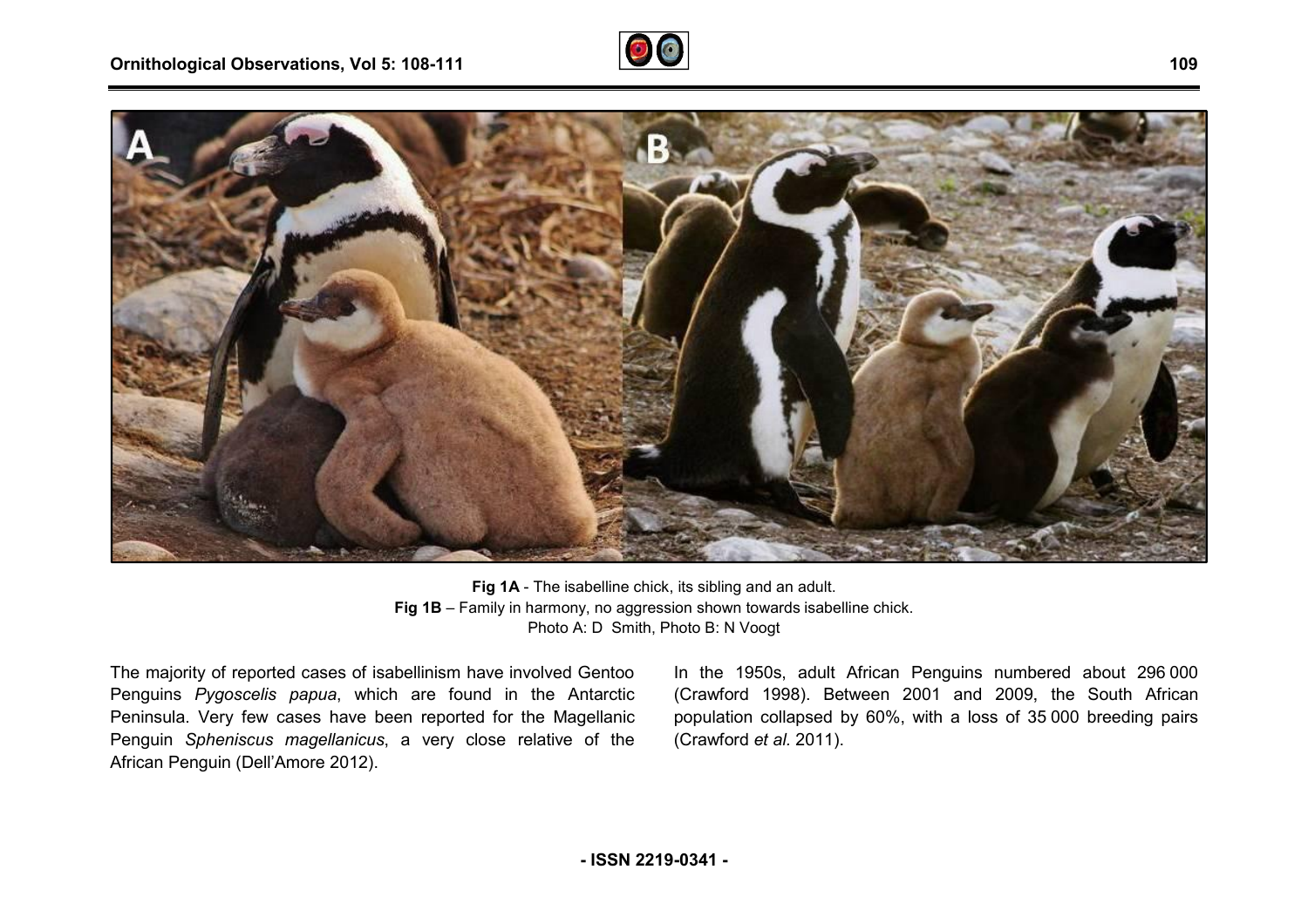



**Fig 1A** - The isabelline chick, its sibling and an adult. **Fig 1B** – Family in harmony, no aggression shown towards isabelline chick. Photo A: D Smith, Photo B: N Voogt

The majority of reported cases of isabellinism have involved Gentoo Penguins *Pygoscelis papua*, which are found in the Antarctic Peninsula. Very few cases have been reported for the Magellanic Penguin *Spheniscus magellanicus*, a very close relative of the African Penguin (Dell'Amore 2012).

In the 1950s, adult African Penguins numbered about 296 000 (Crawford 1998). Between 2001 and 2009, the South African population collapsed by 60%, with a loss of 35 000 breeding pairs (Crawford *et al.* 2011).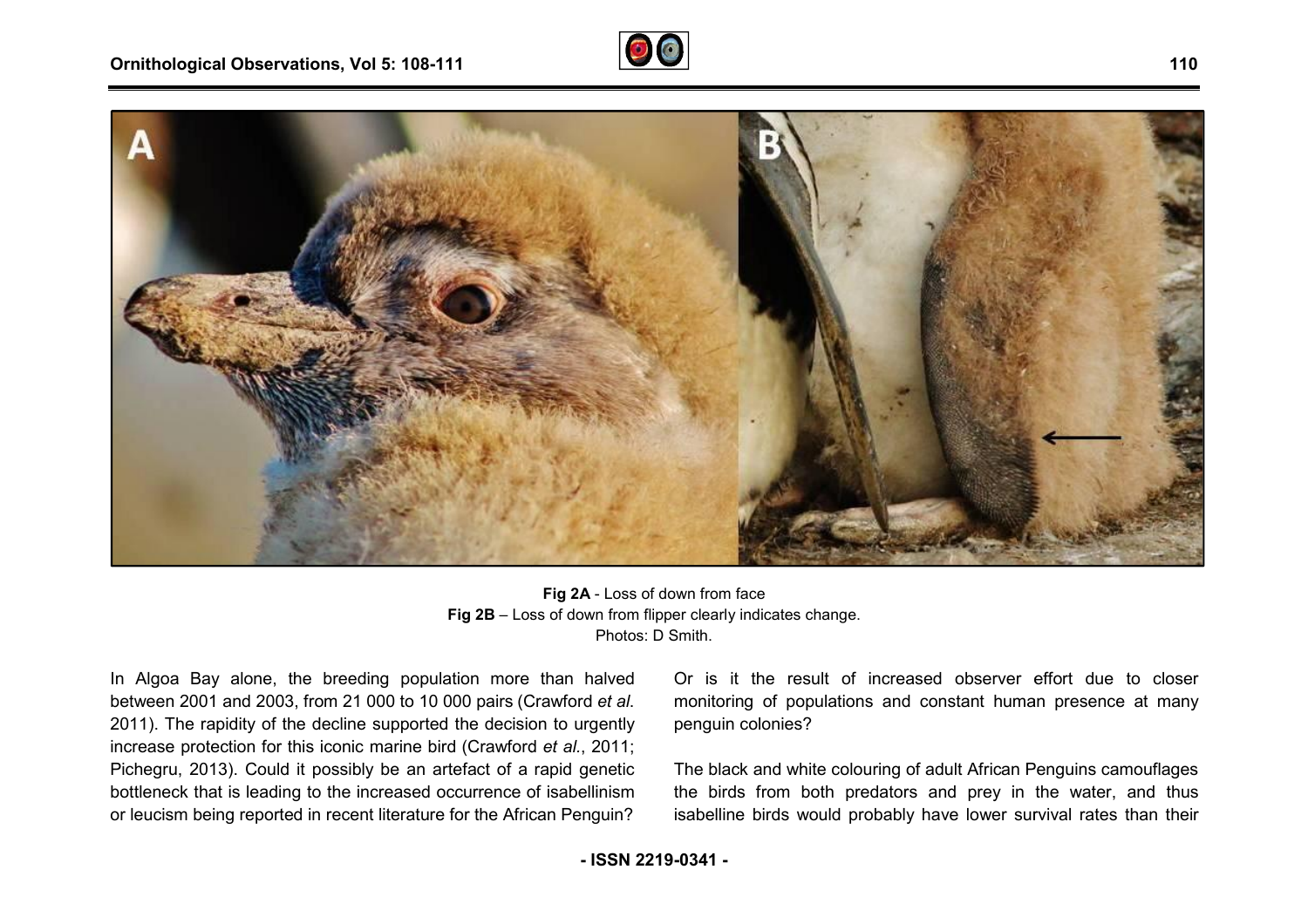



**Fig 2B** – Loss of down from flipper clearly indicates change. **Fig 2A** - Loss of down from face Photos: D Smith.

In Algoa Bay alone, the breeding population more than halved between 2001 and 2003, from 21 000 to 10 000 pairs (Crawford *et al*. 2011). The rapidity of the decline supported the decision to urgently .increase protection for this iconic marine bird (Crawford *et al.*, 2011; Pichegru, 2013). Could it possibly be an artefact of a rapid genetic bottleneck that is leading to the increased occurrence of isabellinism or leucism being reported in recent literature for the African Penguin? oa Bay alone, the breeding population more than halved<br>
or is it the result of increased observer effort due to closer<br>
in 2001 and 2003, from 21 000 to 10 000 pairs (Crawford *et al.*<br>
The rapidity of the decline supporte

monitoring of populations and constant human presence at many penguin colonies?

The black and white colouring of adult African Penguins camouflages the birds from both predators and prey in the water, and thus isabelline birds would probably have lower survival rates than their

**- ISSN 2219-0341 -**